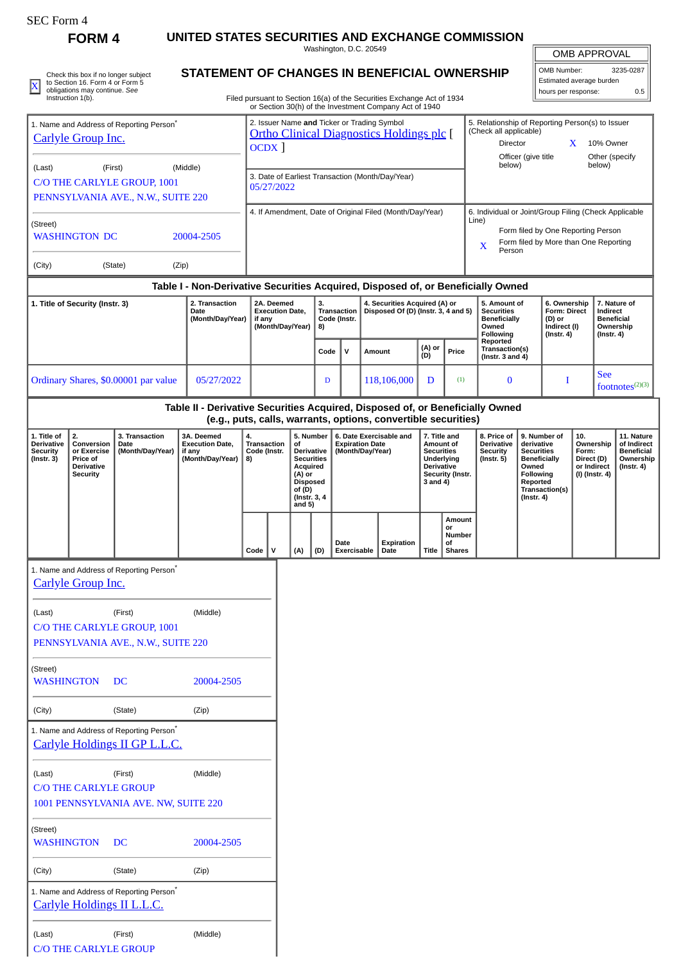| ،F.C. Form |
|------------|
|------------|

**FORM 4 UNITED STATES SECURITIES AND EXCHANGE COMMISSION** Washington, D.C. 20549

OMB APPROVAL

5. Relationship of Reporting Person(s) to Issuer

Director X 10% Owner

(Check all applicable)

| <b>UIVID ALL INUVAL</b>  |     |  |  |  |  |
|--------------------------|-----|--|--|--|--|
| 3235-0287<br>OMB Number: |     |  |  |  |  |
| Estimated average burden |     |  |  |  |  |
| hours per response:      | 0.5 |  |  |  |  |

 $\mathbf{X}$  obligations may continue. See  $\mathbf{X}$  obligations may continue the control of the control of the control of the control of the control of the control of the control of the control of the control of the control o Check this box if no longer subject to Section 16. Form 4 or Form 5 obligations may continue. *See* Instruction 1(b).

[Carlyle Group Inc.](http://www.sec.gov/cgi-bin/browse-edgar?action=getcompany&CIK=0001527166)

1. Name and Address of Reporting Person\*

## **STATEMENT OF CHANGES IN BENEFICIAL OWNERSHIP**

Filed pursuant to Section 16(a) of the Securities Exchange Act of 1934 or Section 30(h) of the Investment Company Act of 1940

OCDX ]

2. Issuer Name **and** Ticker or Trading Symbol [Ortho Clinical Diagnostics Holdings plc](http://www.sec.gov/cgi-bin/browse-edgar?action=getcompany&CIK=0001828443) [

|                                                                                                                                                                   |                                                                              |                                                                              |                                                                               |                                                        |                                                          |                                                                                                                                                                                                                                                                                                                                                                                                         |      |                                     |                                                                                                                                                                                                                     |                                                                                |                                                                                                                                                                        |                                                                                              | below)                                         | Officer (give title                                                            |   |  | Other (specify<br>below) |                    |
|-------------------------------------------------------------------------------------------------------------------------------------------------------------------|------------------------------------------------------------------------------|------------------------------------------------------------------------------|-------------------------------------------------------------------------------|--------------------------------------------------------|----------------------------------------------------------|---------------------------------------------------------------------------------------------------------------------------------------------------------------------------------------------------------------------------------------------------------------------------------------------------------------------------------------------------------------------------------------------------------|------|-------------------------------------|---------------------------------------------------------------------------------------------------------------------------------------------------------------------------------------------------------------------|--------------------------------------------------------------------------------|------------------------------------------------------------------------------------------------------------------------------------------------------------------------|----------------------------------------------------------------------------------------------|------------------------------------------------|--------------------------------------------------------------------------------|---|--|--------------------------|--------------------|
| (First)<br>(Middle)<br>(Last)<br>C/O THE CARLYLE GROUP, 1001                                                                                                      |                                                                              |                                                                              | 3. Date of Earliest Transaction (Month/Day/Year)<br>05/27/2022                |                                                        |                                                          |                                                                                                                                                                                                                                                                                                                                                                                                         |      |                                     |                                                                                                                                                                                                                     |                                                                                |                                                                                                                                                                        |                                                                                              |                                                |                                                                                |   |  |                          |                    |
| PENNSYLVANIA AVE., N.W., SUITE 220<br>(Street)<br><b>WASHINGTON DC</b><br>20004-2505                                                                              |                                                                              |                                                                              |                                                                               |                                                        | 4. If Amendment, Date of Original Filed (Month/Day/Year) |                                                                                                                                                                                                                                                                                                                                                                                                         |      |                                     |                                                                                                                                                                                                                     |                                                                                | 6. Individual or Joint/Group Filing (Check Applicable<br>Line)<br>Form filed by One Reporting Person<br>Form filed by More than One Reporting<br>$\mathbf X$<br>Person |                                                                                              |                                                |                                                                                |   |  |                          |                    |
| (City)                                                                                                                                                            |                                                                              | (State)                                                                      | (Zip)                                                                         |                                                        |                                                          |                                                                                                                                                                                                                                                                                                                                                                                                         |      |                                     |                                                                                                                                                                                                                     |                                                                                |                                                                                                                                                                        |                                                                                              |                                                |                                                                                |   |  |                          |                    |
| Table I - Non-Derivative Securities Acquired, Disposed of, or Beneficially Owned<br>1. Title of Security (Instr. 3)<br>2. Transaction<br>Date<br>(Month/Day/Year) |                                                                              | 2A. Deemed<br>if any                                                         |                                                                               | 3.<br><b>Execution Date,</b><br>(Month/Day/Year)<br>8) |                                                          | 4. Securities Acquired (A) or<br>Transaction<br>Code (Instr.                                                                                                                                                                                                                                                                                                                                            |      | Disposed Of (D) (Instr. 3, 4 and 5) |                                                                                                                                                                                                                     | 5. Amount of<br><b>Securities</b><br><b>Beneficially</b><br>Owned<br>Following |                                                                                                                                                                        | 6. Ownership<br>Form: Direct<br>(D) or<br>Indirect (I)<br>$($ Instr. 4 $)$                   |                                                | 7. Nature of<br>Indirect<br><b>Beneficial</b><br>Ownership<br>$($ Instr. 4 $)$ |   |  |                          |                    |
|                                                                                                                                                                   |                                                                              |                                                                              |                                                                               |                                                        |                                                          |                                                                                                                                                                                                                                                                                                                                                                                                         | Code |                                     | V                                                                                                                                                                                                                   | Amount                                                                         | (A) or<br>(D)                                                                                                                                                          | Price                                                                                        | Reported<br>Transaction(s)<br>(Instr. 3 and 4) |                                                                                |   |  |                          |                    |
|                                                                                                                                                                   |                                                                              | Ordinary Shares, \$0.00001 par value                                         | 05/27/2022                                                                    |                                                        |                                                          |                                                                                                                                                                                                                                                                                                                                                                                                         | D    |                                     |                                                                                                                                                                                                                     | 118,106,000                                                                    | D                                                                                                                                                                      | (1)                                                                                          | $\bf{0}$                                       |                                                                                | I |  | <b>See</b>               | footnotes $(2)(3)$ |
|                                                                                                                                                                   |                                                                              |                                                                              | Table II - Derivative Securities Acquired, Disposed of, or Beneficially Owned |                                                        |                                                          |                                                                                                                                                                                                                                                                                                                                                                                                         |      |                                     |                                                                                                                                                                                                                     |                                                                                |                                                                                                                                                                        |                                                                                              |                                                |                                                                                |   |  |                          |                    |
| 1. Title of<br><b>Derivative</b><br><b>Security</b><br>$($ Instr. 3 $)$                                                                                           | 2.<br>Conversion<br>or Exercise<br>Price of<br>Derivative<br><b>Security</b> | 3. Transaction<br>Date<br>(Month/Day/Year)                                   | 3A. Deemed<br><b>Execution Date.</b><br>if any<br>(Month/Day/Year)            | 4.<br>Transaction<br>Code (Instr.<br>8)                |                                                          | (e.g., puts, calls, warrants, options, convertible securities)<br>5. Number<br>6. Date Exercisable and<br>7. Title and<br><b>Expiration Date</b><br>of<br>Amount of<br>Derivative<br>(Month/Day/Year)<br><b>Securities</b><br><b>Securities</b><br>Underlying<br><b>Acquired</b><br><b>Derivative</b><br>(A) or<br>Security (Instr.<br><b>Disposed</b><br>3 and 4)<br>of(D)<br>(Instr. 3, 4<br>and $5)$ |      |                                     | 8. Price of<br>9. Number of<br><b>Derivative</b><br>derivative<br><b>Security</b><br><b>Securities</b><br>$($ Instr. 5 $)$<br><b>Beneficially</b><br>Owned<br>Following<br>Reported<br>Transaction(s)<br>(Instr. 4) |                                                                                |                                                                                                                                                                        | 10.<br>Ownership<br>Form:<br>Direct (D)<br>or Indirect<br>$($ Instr. 4 $)$<br>(I) (Instr. 4) |                                                | 11. Nature<br>of Indirect<br><b>Beneficial</b><br>Ownership                    |   |  |                          |                    |
|                                                                                                                                                                   |                                                                              |                                                                              |                                                                               | Code                                                   | V                                                        | (A)                                                                                                                                                                                                                                                                                                                                                                                                     | (D)  | Date                                | Exercisable                                                                                                                                                                                                         | Expiration<br>Date                                                             | Title                                                                                                                                                                  | Amount<br>or<br>Number<br>οf<br><b>Shares</b>                                                |                                                |                                                                                |   |  |                          |                    |
|                                                                                                                                                                   | <b>Carlyle Group Inc.</b>                                                    | 1. Name and Address of Reporting Person <sup>7</sup>                         |                                                                               |                                                        |                                                          |                                                                                                                                                                                                                                                                                                                                                                                                         |      |                                     |                                                                                                                                                                                                                     |                                                                                |                                                                                                                                                                        |                                                                                              |                                                |                                                                                |   |  |                          |                    |
| (Last)                                                                                                                                                            |                                                                              | (First)<br>C/O THE CARLYLE GROUP, 1001<br>PENNSYLVANIA AVE., N.W., SUITE 220 | (Middle)                                                                      |                                                        |                                                          |                                                                                                                                                                                                                                                                                                                                                                                                         |      |                                     |                                                                                                                                                                                                                     |                                                                                |                                                                                                                                                                        |                                                                                              |                                                |                                                                                |   |  |                          |                    |
| (Street)<br><b>WASHINGTON</b>                                                                                                                                     |                                                                              | DC                                                                           | 20004-2505                                                                    |                                                        |                                                          |                                                                                                                                                                                                                                                                                                                                                                                                         |      |                                     |                                                                                                                                                                                                                     |                                                                                |                                                                                                                                                                        |                                                                                              |                                                |                                                                                |   |  |                          |                    |
| (City)                                                                                                                                                            |                                                                              | (State)                                                                      | (Zip)                                                                         |                                                        |                                                          |                                                                                                                                                                                                                                                                                                                                                                                                         |      |                                     |                                                                                                                                                                                                                     |                                                                                |                                                                                                                                                                        |                                                                                              |                                                |                                                                                |   |  |                          |                    |
|                                                                                                                                                                   |                                                                              | 1. Name and Address of Reporting Person*<br>Carlyle Holdings II GP L.L.C.    |                                                                               |                                                        |                                                          |                                                                                                                                                                                                                                                                                                                                                                                                         |      |                                     |                                                                                                                                                                                                                     |                                                                                |                                                                                                                                                                        |                                                                                              |                                                |                                                                                |   |  |                          |                    |
| (Last)                                                                                                                                                            | <b>C/O THE CARLYLE GROUP</b>                                                 | (First)<br>1001 PENNSYLVANIA AVE. NW, SUITE 220                              | (Middle)                                                                      |                                                        |                                                          |                                                                                                                                                                                                                                                                                                                                                                                                         |      |                                     |                                                                                                                                                                                                                     |                                                                                |                                                                                                                                                                        |                                                                                              |                                                |                                                                                |   |  |                          |                    |
| (Street)<br><b>WASHINGTON</b>                                                                                                                                     |                                                                              | DC                                                                           | 20004-2505                                                                    |                                                        |                                                          |                                                                                                                                                                                                                                                                                                                                                                                                         |      |                                     |                                                                                                                                                                                                                     |                                                                                |                                                                                                                                                                        |                                                                                              |                                                |                                                                                |   |  |                          |                    |
| (City)                                                                                                                                                            |                                                                              | (State)                                                                      | (Zip)                                                                         |                                                        |                                                          |                                                                                                                                                                                                                                                                                                                                                                                                         |      |                                     |                                                                                                                                                                                                                     |                                                                                |                                                                                                                                                                        |                                                                                              |                                                |                                                                                |   |  |                          |                    |
|                                                                                                                                                                   |                                                                              | 1. Name and Address of Reporting Person*<br>Carlyle Holdings II L.L.C.       |                                                                               |                                                        |                                                          |                                                                                                                                                                                                                                                                                                                                                                                                         |      |                                     |                                                                                                                                                                                                                     |                                                                                |                                                                                                                                                                        |                                                                                              |                                                |                                                                                |   |  |                          |                    |
| (Last)                                                                                                                                                            | <b>C/O THE CARLYLE GROUP</b>                                                 | (First)                                                                      | (Middle)                                                                      |                                                        |                                                          |                                                                                                                                                                                                                                                                                                                                                                                                         |      |                                     |                                                                                                                                                                                                                     |                                                                                |                                                                                                                                                                        |                                                                                              |                                                |                                                                                |   |  |                          |                    |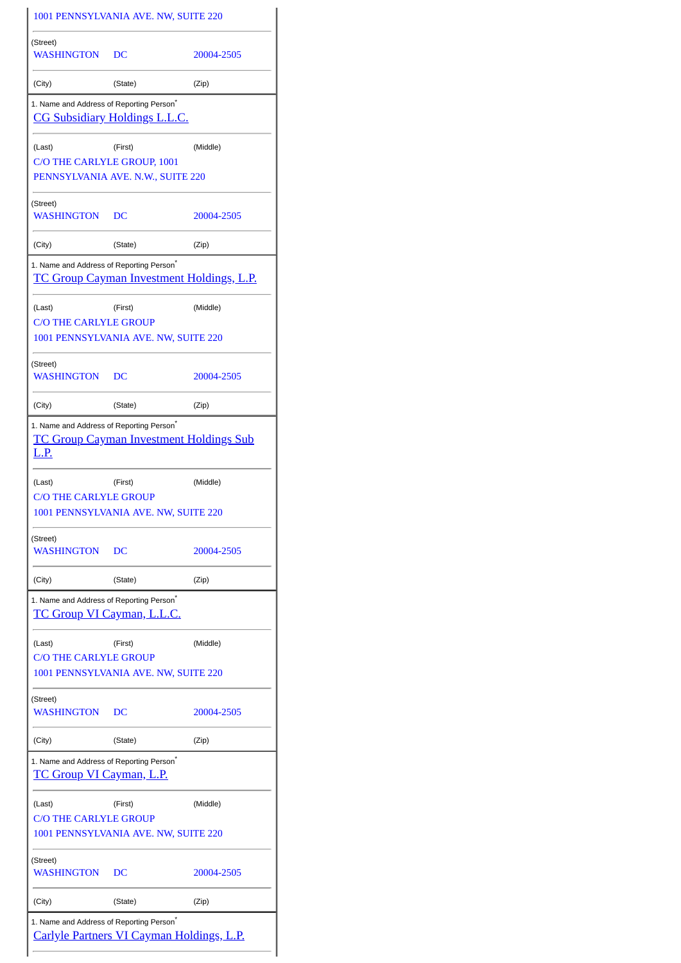| 1001 PENNSYLVANIA AVE. NW, SUITE 220                                                      |         |                                                  |
|-------------------------------------------------------------------------------------------|---------|--------------------------------------------------|
| (Street)<br>WASHINGTON                                                                    | DC      | 20004-2505                                       |
| (City)                                                                                    | (State) | (Zip)                                            |
| 1. Name and Address of Reporting Person <sup>*</sup><br>CG Subsidiary Holdings L.L.C.     |         |                                                  |
| (Last)<br>C/O THE CARLYLE GROUP, 1001                                                     | (First) | (Middle)                                         |
| PENNSYLVANIA AVE. N.W., SUITE 220                                                         |         |                                                  |
| (Street)<br>WASHINGTON                                                                    | DC      | 20004-2505                                       |
| (City)                                                                                    | (State) | (Zip)                                            |
| 1. Name and Address of Reporting Person <sup>*</sup>                                      |         | <b>TC Group Cayman Investment Holdings, L.P.</b> |
| (Last)                                                                                    | (First) | (Middle)                                         |
| <b>C/O THE CARLYLE GROUP</b><br>1001 PENNSYLVANIA AVE. NW, SUITE 220                      |         |                                                  |
|                                                                                           |         |                                                  |
| (Street)<br>WASHINGTON                                                                    | DC      | 20004-2505                                       |
| (City)                                                                                    | (State) | (Zip)                                            |
| 1. Name and Address of Reporting Person <sup>*</sup><br><u>L.P.</u>                       |         | <b>TC Group Cayman Investment Holdings Sub</b>   |
| (Last)<br><b>C/O THE CARLYLE GROUP</b>                                                    | (First) | (Middle)                                         |
| 1001 PENNSYLVANIA AVE. NW, SUITE 220                                                      |         |                                                  |
| (Street)<br>WASHINGTON                                                                    | DC      | 20004-2505                                       |
| (City)                                                                                    | (State) | (Zip)                                            |
| 1. Name and Address of Reporting Person <sup>*</sup><br><u>TC Group VI Cayman, L.L.C.</u> |         |                                                  |
| (Last)<br><b>C/O THE CARLYLE GROUP</b>                                                    | (First) | (Middle)                                         |
| 1001 PENNSYLVANIA AVE. NW, SUITE 220                                                      |         |                                                  |
| (Street)<br>WASHINGTON                                                                    | DC      | 20004-2505                                       |
| (City)                                                                                    | (State) | (Zip)                                            |
| 1. Name and Address of Reporting Person <sup>*</sup><br>TC Group VI Cayman, L.P.          |         |                                                  |
| (Last)<br><b>C/O THE CARLYLE GROUP</b><br>1001 PENNSYLVANIA AVE. NW, SUITE 220            | (First) | (Middle)                                         |
| (Street)<br>WASHINGTON                                                                    | DС      | 20004-2505                                       |
| (City)                                                                                    | (State) | (Zip)                                            |
| 1. Name and Address of Reporting Person*                                                  |         | Carlyle Partners VI Cayman Holdings, L.P.        |